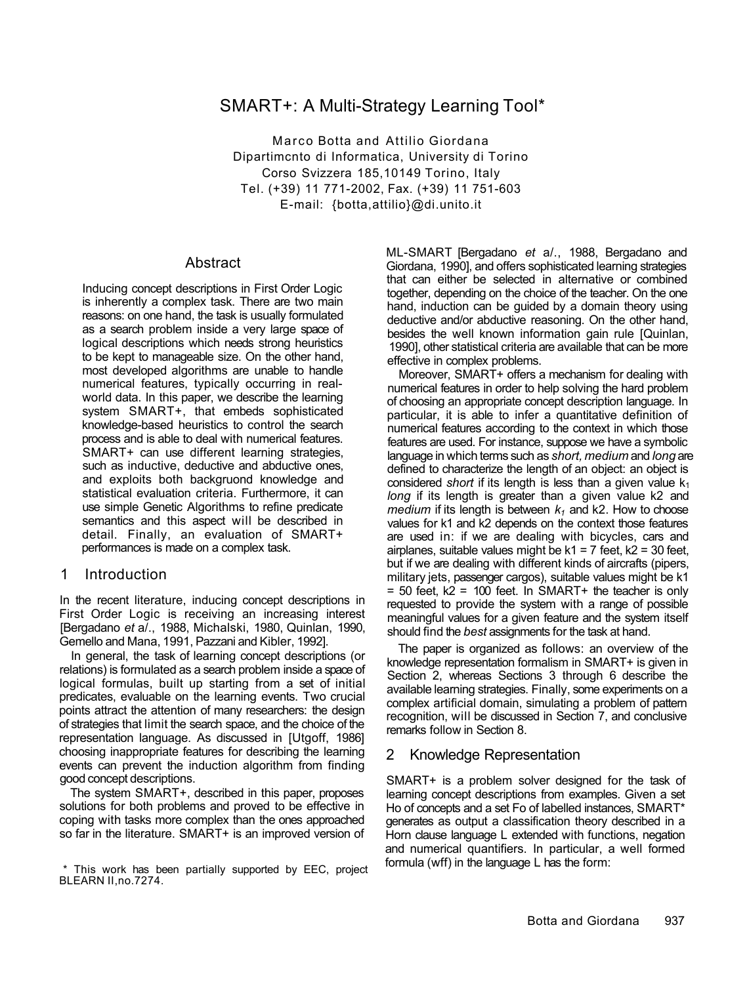# SMART+: A Multi-Strategy Learning Tool\*

Marco Botta and Attilio Giordana Dipartimcnto di Informatica, University di Torino Corso Svizzera 185,10149 Torino, Italy Tel. (+39) 11 771-2002, Fax. (+39) 11 751-603 E-mail: {botta,attilio}@di.unito.it

### Abstract

Inducing concept descriptions in First Order Logic is inherently a complex task. There are two main reasons: on one hand, the task is usually formulated as a search problem inside a very large space of logical descriptions which needs strong heuristics to be kept to manageable size. On the other hand, most developed algorithms are unable to handle numerical features, typically occurring in realworld data. In this paper, we describe the learning system SMART+, that embeds sophisticated knowledge-based heuristics to control the search process and is able to deal with numerical features. SMART+ can use different learning strategies, such as inductive, deductive and abductive ones, and exploits both backgruond knowledge and statistical evaluation criteria. Furthermore, it can use simple Genetic Algorithms to refine predicate semantics and this aspect will be described in detail. Finally, an evaluation of SMART+ performances is made on a complex task.

## 1 Introduction

In the recent literature, inducing concept descriptions in First Order Logic is receiving an increasing interest [Bergadano *et* a/., 1988, Michalski, 1980, Quinlan, 1990, Gemello and Mana, 1991, Pazzani and Kibler, 1992].

In general, the task of learning concept descriptions (or relations) is formulated as a search problem inside a space of logical formulas, built up starting from a set of initial predicates, evaluable on the learning events. Two crucial points attract the attention of many researchers: the design of strategies that limit the search space, and the choice of the representation language. As discussed in [Utgoff, 1986] choosing inappropriate features for describing the learning events can prevent the induction algorithm from finding good concept descriptions.

The system SMART+, described in this paper, proposes solutions for both problems and proved to be effective in coping with tasks more complex than the ones approached so far in the literature. SMART+ is an improved version of

ML-SMART [Bergadano *et* a/., 1988, Bergadano and Giordana, 1990], and offers sophisticated learning strategies that can either be selected in alternative or combined together, depending on the choice of the teacher. On the one hand, induction can be guided by a domain theory using deductive and/or abductive reasoning. On the other hand, besides the well known information gain rule [Quinlan, 1990], other statistical criteria are available that can be more effective in complex problems.

Moreover, SMART+ offers a mechanism for dealing with numerical features in order to help solving the hard problem of choosing an appropriate concept description language. In particular, it is able to infer a quantitative definition of numerical features according to the context in which those features are used. For instance, suppose we have a symbolic language in which terms such as *short, medium* and *long* are defined to characterize the length of an object: an object is considered *short* if its length is less than a given value  $k_1$ *long* if its length is greater than a given value k2 and *medium* if its length is between *k1* and k2. How to choose values for k1 and k2 depends on the context those features are used in: if we are dealing with bicycles, cars and airplanes, suitable values might be  $k1 = 7$  feet,  $k2 = 30$  feet, but if we are dealing with different kinds of aircrafts (pipers, military jets, passenger cargos), suitable values might be k1  $=$  50 feet,  $k2 = 100$  feet. In SMART+ the teacher is only requested to provide the system with a range of possible meaningful values for a given feature and the system itself should find the *best* assignments for the task at hand.

The paper is organized as follows: an overview of the knowledge representation formalism in SMART+ is given in Section 2, whereas Sections 3 through 6 describe the available learning strategies. Finally, some experiments on a complex artificial domain, simulating a problem of pattern recognition, will be discussed in Section 7, and conclusive remarks follow in Section 8.

## 2 Knowledge Representation

SMART+ is a problem solver designed for the task of learning concept descriptions from examples. Given a set Ho of concepts and a set Fo of labelled instances, SMART\* generates as output a classification theory described in a Horn clause language L extended with functions, negation and numerical quantifiers. In particular, a well formed formula (wff) in the language L has the form:

<sup>\*</sup> This work has been partially supported by EEC, project BLEARN II,no.7274.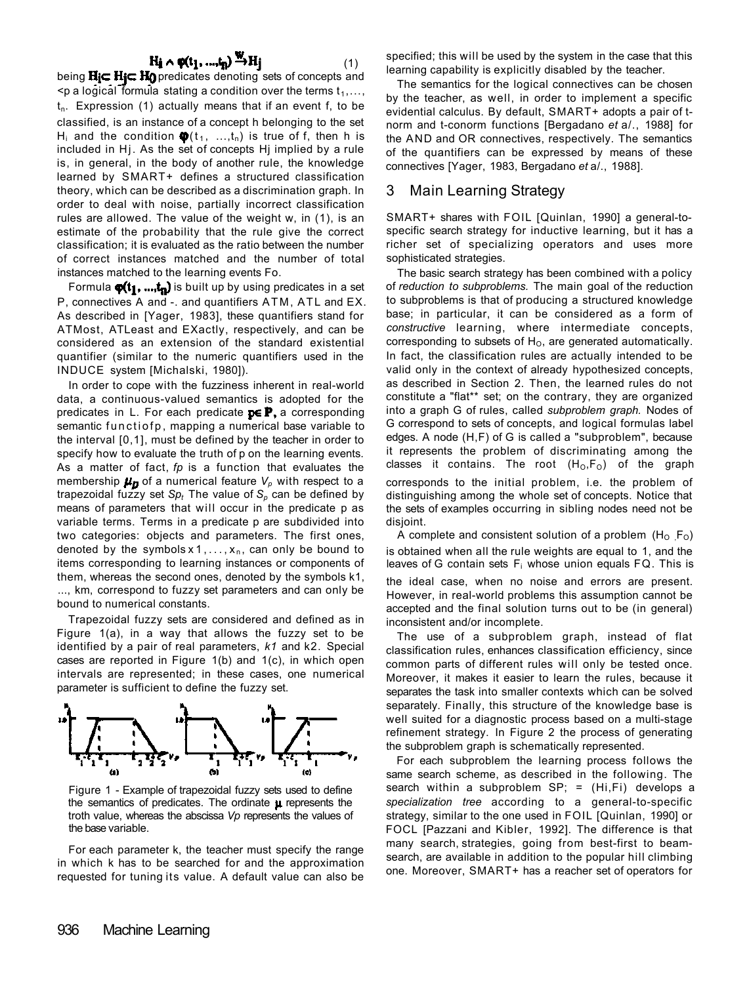# $H_i \wedge \varphi(t_1, ..., t_n) \xrightarrow{W} H_j$

(1)

being Hic Hic Ho predicates denoting sets of concepts and  $\leq$  p a logical formula stating a condition over the terms  $t_1, \ldots, t_n$  $t_n$ . Expression (1) actually means that if an event f, to be classified, is an instance of a concept h belonging to the set H<sub>i</sub> and the condition  $\mathbf{\Phi}(t_1, ..., t_n)$  is true of f, then h is included in Hj. As the set of concepts Hj implied by a rule is, in general, in the body of another rule, the knowledge learned by SMART+ defines a structured classification theory, which can be described as a discrimination graph. In order to deal with noise, partially incorrect classification rules are allowed. The value of the weight w, in (1), is an estimate of the probability that the rule give the correct classification; it is evaluated as the ratio between the number of correct instances matched and the number of total instances matched to the learning events Fo.

Formula  $\varphi(t_1, ..., t_n)$  is built up by using predicates in a set P, connectives A and -. and quantifiers ATM , ATL and EX. As described in [Yager, 1983], these quantifiers stand for ATMost, ATLeast and EXactly, respectively, and can be considered as an extension of the standard existential quantifier (similar to the numeric quantifiers used in the INDUCE system [Michalski, 1980]).

In order to cope with the fuzziness inherent in real-world data, a continuous-valued semantics is adopted for the predicates in L. For each predicate  $p \in P$ , a corresponding semantic functiofp , mapping a numerical base variable to the interval [0,1], must be defined by the teacher in order to specify how to evaluate the truth of p on the learning events. As a matter of fact, *fp* is a function that evaluates the membership  $\mu_{\mathbf{p}}$  of a numerical feature  $V_p$  with respect to a trapezoidal fuzzy set *Spt* The value of *Sp* can be defined by means of parameters that will occur in the predicate p as variable terms. Terms in a predicate p are subdivided into two categories: objects and parameters. The first ones, denoted by the symbols  $x 1, \ldots, x_n$ , can only be bound to items corresponding to learning instances or components of them, whereas the second ones, denoted by the symbols k1, ..., km, correspond to fuzzy set parameters and can only be bound to numerical constants.

Trapezoidal fuzzy sets are considered and defined as in Figure 1(a), in a way that allows the fuzzy set to be identified by a pair of real parameters, *k1* and k2. Special cases are reported in Figure 1(b) and 1(c), in which open intervals are represented; in these cases, one numerical parameter is sufficient to define the fuzzy set.



Figure 1 - Example of trapezoidal fuzzy sets used to define the semantics of predicates. The ordinate  $\mu$  represents the troth value, whereas the abscissa *Vp* represents the values of the base variable.

For each parameter k, the teacher must specify the range in which k has to be searched for and the approximation requested for tuning its value. A default value can also be

specified; this will be used by the system in the case that this learning capability is explicitly disabled by the teacher.

The semantics for the logical connectives can be chosen by the teacher, as well, in order to implement a specific evidential calculus. By default, SMART+ adopts a pair of tnorm and t-conorm functions [Bergadano *et* a/., 1988] for the AND and OR connectives, respectively. The semantics of the quantifiers can be expressed by means of these connectives [Yager, 1983, Bergadano *et* a/., 1988].

## 3 Main Learning Strategy

SMART+ shares with FOIL [Quinlan, 1990] a general-tospecific search strategy for inductive learning, but it has a richer set of specializing operators and uses more sophisticated strategies.

The basic search strategy has been combined with a policy of *reduction to subproblems.* The main goal of the reduction to subproblems is that of producing a structured knowledge base; in particular, it can be considered as a form of *constructive* learning, where intermediate concepts, corresponding to subsets of  $H<sub>0</sub>$ , are generated automatically. In fact, the classification rules are actually intended to be valid only in the context of already hypothesized concepts, as described in Section 2. Then, the learned rules do not constitute a "flat\*\* set; on the contrary, they are organized into a graph G of rules, called *subproblem graph.* Nodes of G correspond to sets of concepts, and logical formulas label edges. A node (H,F) of G is called a "subproblem", because it represents the problem of discriminating among the classes it contains. The root  $(H_0, F_0)$  of the graph corresponds to the initial problem, i.e. the problem of

distinguishing among the whole set of concepts. Notice that the sets of examples occurring in sibling nodes need not be disjoint.

A complete and consistent solution of a problem  $(H_0, F_0)$ is obtained when all the rule weights are equal to 1, and the leaves of G contain sets  $F_i$  whose union equals  $FQ$ . This is the ideal case, when no noise and errors are present. However, in real-world problems this assumption cannot be accepted and the final solution turns out to be (in general)

inconsistent and/or incomplete. The use of a subproblem graph, instead of flat classification rules, enhances classification efficiency, since common parts of different rules will only be tested once. Moreover, it makes it easier to learn the rules, because it separates the task into smaller contexts which can be solved separately. Finally, this structure of the knowledge base is well suited for a diagnostic process based on a multi-stage refinement strategy. In Figure 2 the process of generating the subproblem graph is schematically represented.

For each subproblem the learning process follows the same search scheme, as described in the following. The search within a subproblem SP; = (Hi,Fi) develops a *specialization tree* according to a general-to-specific strategy, similar to the one used in FOIL [Quinlan, 1990] or FOCL [Pazzani and Kibler, 1992]. The difference is that many search, strategies, going from best-first to beamsearch, are available in addition to the popular hill climbing one. Moreover, SMART+ has a reacher set of operators for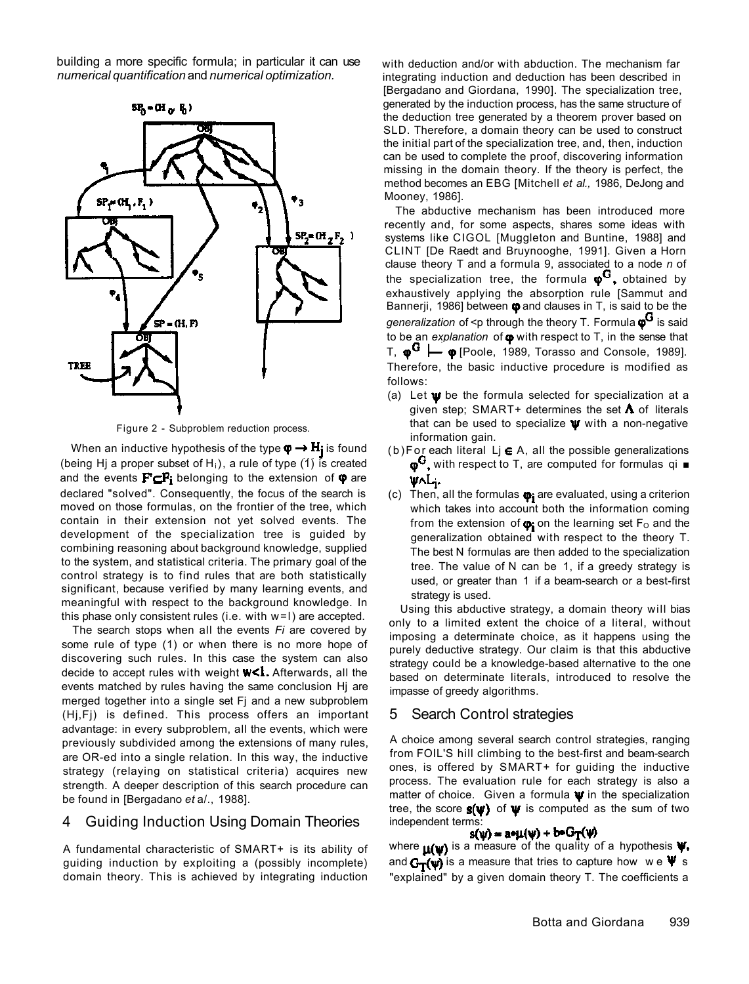building a more specific formula; in particular it can use *numerical quantification* and *numerical optimization.* 



Figure 2 - Subproblem reduction process.

When an inductive hypothesis of the type  $\varphi \rightarrow H_j$  is found (being Hj a proper subset of H<sub>i</sub>), a rule of type (1) is created and the events  $F \subset F_i$  belonging to the extension of  $\varphi$  are declared "solved". Consequently, the focus of the search is moved on those formulas, on the frontier of the tree, which contain in their extension not yet solved events. The development of the specialization tree is guided by combining reasoning about background knowledge, supplied to the system, and statistical criteria. The primary goal of the control strategy is to find rules that are both statistically significant, because verified by many learning events, and meaningful with respect to the background knowledge. In this phase only consistent rules (i.e. with w=l) are accepted.

The search stops when all the events *Fi* are covered by some rule of type (1) or when there is no more hope of discovering such rules. In this case the system can also decide to accept rules with weight  $W<1$ . Afterwards, all the events matched by rules having the same conclusion Hj are merged together into a single set Fj and a new subproblem (Hj,Fj) is defined. This process offers an important advantage: in every subproblem, all the events, which were previously subdivided among the extensions of many rules, are OR-ed into a single relation. In this way, the inductive strategy (relaying on statistical criteria) acquires new strength. A deeper description of this search procedure can be found in [Bergadano *et* a/., 1988].

### 4 Guiding Induction Using Domain Theories

A fundamental characteristic of SMART+ is its ability of guiding induction by exploiting a (possibly incomplete) domain theory. This is achieved by integrating induction with deduction and/or with abduction. The mechanism far integrating induction and deduction has been described in [Bergadano and Giordana, 1990]. The specialization tree, generated by the induction process, has the same structure of the deduction tree generated by a theorem prover based on SLD. Therefore, a domain theory can be used to construct the initial part of the specialization tree, and, then, induction can be used to complete the proof, discovering information missing in the domain theory. If the theory is perfect, the method becomes an EBG [Mitchell *et al.,* 1986, DeJong and Mooney, 1986].

The abductive mechanism has been introduced more recently and, for some aspects, shares some ideas with systems like CIGOL [Muggleton and Buntine, 1988] and CLINT [De Raedt and Bruynooghe, 1991]. Given a Horn clause theory T and a formula 9, associated to a node *n* of the specialization tree, the formula  $\phi^{\vee}$ , obtained by exhaustively applying the absorption rule [Sammut and Bannerji, 1986] between  $\phi$  and clauses in T, is said to be the *generalization* of <p through the theory T. Formula  $\boldsymbol{\varphi}^{\boldsymbol{G}}$  is said to be an explanation of  $\phi$  with respect to T, in the sense that T,  $\phi^G \models \phi$  [Poole, 1989, Torasso and Console, 1989]. Therefore, the basic inductive procedure is modified as follows:

- (a) Let  $\psi$  be the formula selected for specialization at a given step; SMART+ determines the set  $\Lambda$  of literals that can be used to specialize  $\Psi$  with a non-negative information gain.
- (b) For each literal  $L$ j  $\in$  A, all the possible generalizations  $\phi^G$ , with respect to T, are computed for formulas qi  $\blacksquare$ WAL;
- (c) Then, all the formulas  $\phi_i$  are evaluated, using a criterion which takes into account both the information coming from the extension of  $\boldsymbol{\varphi}$  on the learning set  $F_0$  and the generalization obtained with respect to the theory T. The best N formulas are then added to the specialization tree. The value of N can be 1, if a greedy strategy is used, or greater than 1 if a beam-search or a best-first strategy is used.

Using this abductive strategy, a domain theory will bias only to a limited extent the choice of a literal, without imposing a determinate choice, as it happens using the purely deductive strategy. Our claim is that this abductive strategy could be a knowledge-based alternative to the one based on determinate literals, introduced to resolve the impasse of greedy algorithms.

### 5 Search Control strategies

A choice among several search control strategies, ranging from FOIL'S hill climbing to the best-first and beam-search ones, is offered by SMART+ for guiding the inductive process. The evaluation rule for each strategy is also a matter of choice. Given a formula  $\psi$  in the specialization tree, the score  $s(v)$  of  $v$  is computed as the sum of two independent terms:<br> $s(w) = a \cdot \mu(w) + b \cdot G \cdot \tau(w)$ 

where  $\mathbf{u}(\mathbf{w})$  is a measure of the quality of a hypothesis  $\mathbf{v}$ . and  $G_T(\psi)$  is a measure that tries to capture how we  $\Psi$  s "explained" by a given domain theory T. The coefficients a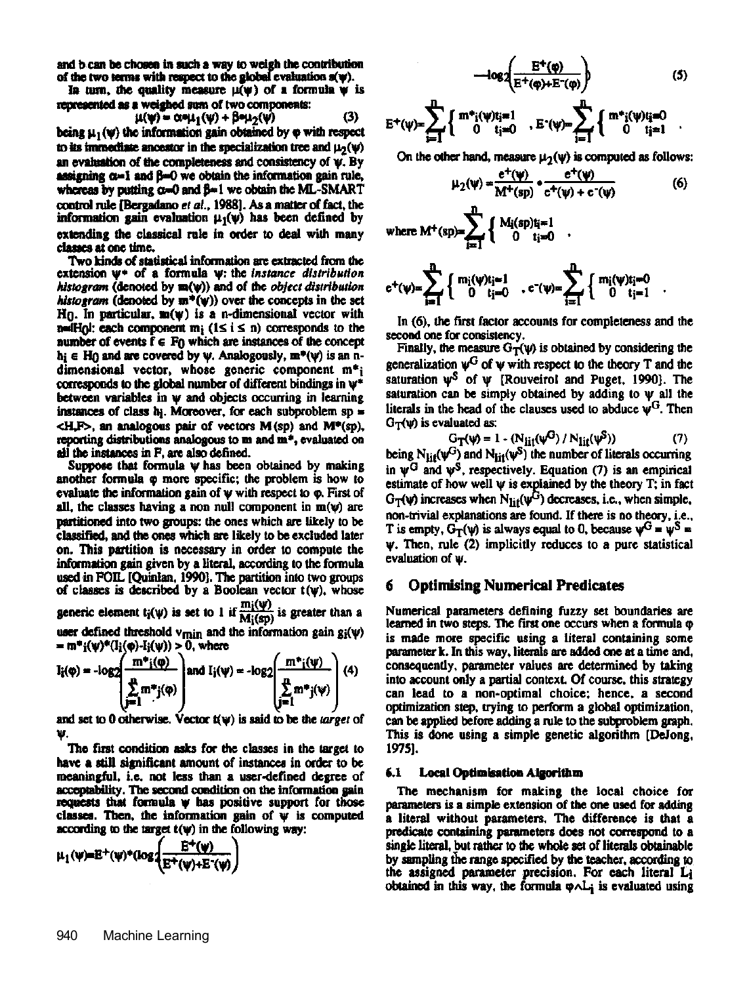and b can be chosen in such a way to weigh the contribution of the two terms with respect to the global evaluation  $s(\psi)$ .

In turn, the quality measure  $\mu(\psi)$  of a formula  $\psi$  is represented as a weighed sum of two components:

$$
\mu(\psi) = \alpha \bullet \mu_1(\psi) + \beta \bullet \mu_2(\psi) \tag{3}
$$

being  $\mu_1(\psi)$  the information gain obtained by  $\phi$  with respect to its immediate ancestor in the specialization tree and  $\mu_2(\psi)$ an evaluation of the completeness and consistency of w. By assigning  $\alpha=1$  and  $\beta=0$  we obtain the information gain rule, whereas by putting  $\alpha=0$  and  $\beta=1$  we obtain the ML-SMART control rule [Bergadano et al., 1988]. As a matter of fact, the information gain evaluation  $\mu_1(\psi)$  has been defined by extending the classical rule in order to deal with many classes at one time.

Two kinds of statistical information are extracted from the extension  $\psi^*$  of a formula  $\psi$ : the *instance distribution* histogram (denoted by m(w)) and of the object distribution histogram (denoted by  $m^+(v)$ ) over the concepts in the set  $H_0$ . In particular,  $m(\psi)$  is a n-dimensional vector with n= $H_0$ : each component  $m_i$  (1≤ i ≤ n) corresponds to the number of events  $f \in F_0$  which are instances of the concept  $h_i \in H_0$  and are covered by  $\psi$ . Analogously,  $m^*(\psi)$  is an ndimensional vector, whose generic component  $m^*$ ; corresponds to the global number of different bindings in  $\psi^*$ between variables in w and objects occurring in learning instances of class  $b_i$ . Moreover, for each subproblem  $sp =$  $\langle H, F \rangle$ , an analogous pair of vectors M(sp) and M\*(sp), reporting distributions analogous to m and m<sup>+</sup>, evaluated on all the instances in F, are also defined.

Suppose that formula w has been obtained by making another formula  $\varphi$  more specific; the problem is how to evaluate the information gain of  $\psi$  with respect to  $\varphi$ . First of all, the classes having a non null component in  $m(\psi)$  are partitioned into two groups: the ones which are likely to be classified, and the ones which are likely to be excluded later on. This partition is necessary in order to compute the information gain given by a literal, according to the formula used in FOIL [Quinlan, 1990]. The partition into two groups of classes is described by a Boolean vector  $t(\psi)$ , whose generic element  $t_i(\psi)$  is set to 1 if  $\frac{m_i(\psi)}{M_i(sp)}$  is greater than a

user defined threshold  $v_{min}$  and the information gain  $g_i(\psi)$ =  $m^*i(\psi)^*(I_i(\phi) - I_i(\psi)) > 0$ , where

$$
I_i(\varphi) = -\log 2 \left( \frac{m^*i(\varphi)}{\sum_{j=1}^n m^*j(\varphi)} \right) \text{ and } I_j(\psi) = -\log 2 \left( \frac{m^*i(\psi)}{\sum_{j=1}^n m^*j(\psi)} \right) (4)
$$

and set to 0 otherwise. Vector  $f(y)$  is said to be the *target* of

The first condition asks for the classes in the target to have a still significant amount of instances in order to be meaningful, i.e. not less than a user-defined degree of acceptability. The second condition on the information gain requests that formula  $\psi$  has positive support for those classes. Then, the information gain of  $\psi$  is computed according to the target  $t(\psi)$  in the following way:

$$
\mu_1(\psi) = E^+(\psi)^*(\log\left(\frac{E^+(\psi)}{E^+(\psi)+E^-(\psi)}\right)
$$

$$
-log 2\left(\frac{E^{+}(\phi)}{E^{+}(\phi)+E^{+}(\phi)}\right) \qquad (5)
$$
  
f m<sup>\*</sup>:
$$
(w)t_{i}=1 \qquad \qquad \sum_{k=1}^{n} f_{k}(w)t_{i}=0
$$

$$
E^{+}(\psi) = \sum_{i=1}^{m} \left\{ \begin{array}{cc} m^{*}{}_{i}(\psi) i_{i} = 1 \\ 0 & i_{i} = 0 \end{array} \right. , E^{-}(\psi) = \sum_{i=1}^{m} \left\{ \begin{array}{cc} m^{*}{}_{i}(\psi) i_{i} = 0 \\ 0 & i_{i} = 1 \end{array} \right.
$$

On the other hand, measure  $\mu_2(\psi)$  is computed as follows:

$$
\mu_2(\psi) = \frac{e^+(\psi)}{M^+(\mathrm{sp})} \cdot \frac{e^+(\psi)}{e^+(\psi) + e^-(\psi)}
$$
(6)

where  $M^{+}(sp) = \sum_{i=1}^{m} \begin{cases} M_{i}(sp)i_{i}=1 \\ 0 & i_{i}=0 \end{cases}$ .

$$
e^+(\psi) = \sum_{i=1}^n \left\{ \begin{array}{cl} m_i(\psi) t_i = 1 \\ 0 & t_i = 0 \end{array} \right. \ , \ e^-(\psi) = \sum_{i=1}^n \left\{ \begin{array}{cl} m_i(\psi) t_i = 0 \\ 0 & t_i = 1 \end{array} \right.
$$

In (6), the first factor accounts for completeness and the second one for consistency.

Finally, the measure  $G_T(\psi)$  is obtained by considering the generalization  $\psi^G$  of  $\psi$  with respect to the theory T and the saturation  $\psi^S$  of  $\psi$  [Rouveirol and Puget, 1990]. The saturation can be simply obtained by adding to w all the literals in the head of the clauses used to abduce  $\psi^G$ . Then  $G_T(\psi)$  is evaluated as:

$$
G_T(\psi) = 1 - (N_{\text{lit}}(\psi^G) / N_{\text{lit}}(\psi^S))
$$
 (7)

being N<sub>lit</sub>( $\psi^G$ ) and N<sub>lit</sub>( $\psi^S$ ) the number of literals occurring in  $\psi^G$  and  $\psi^S$ , respectively. Equation (7) is an empirical estimate of how well  $\psi$  is explained by the theory  $T$ ; in fact  $G_T(\psi)$  increases when  $N_{\text{lit}}(\psi^G)$  decreases, i.e., when simple, non-trivial explanations are found. If there is no theory, i.e., T is empty,  $G_T(\psi)$  is always equal to 0, because  $\psi^G = \psi^S =$  $\psi$ . Then, rule (2) implicitly reduces to a pure statistical evaluation of  $\psi$ .

### **Optimising Numerical Predicates** 6

Numerical parameters defining fuzzy set boundaries are learned in two steps. The first one occurs when a formula  $\varphi$ is made more specific using a literal containing some parameter k. In this way, literals are added one at a time and, consequently, parameter values are determined by taking into account only a partial context. Of course, this strategy can lead to a non-optimal choice; hence, a second optimization step, trying to perform a global optimization, can be applied before adding a rule to the subproblem graph. This is done using a simple genetic algorithm (DeJong, 1975].

### $6.1$ **Local Optimisation Algorithm**

The mechanism for making the local choice for parameters is a simple extension of the one used for adding a literal without parameters. The difference is that a predicate containing parameters does not correspond to a single literal, but rather to the whole set of literals obtainable by sampling the range specified by the teacher, according to the assigned parameter precision. For each literal L<sub>i</sub> obtained in this way, the formula  $\varphi \wedge L_i$  is evaluated using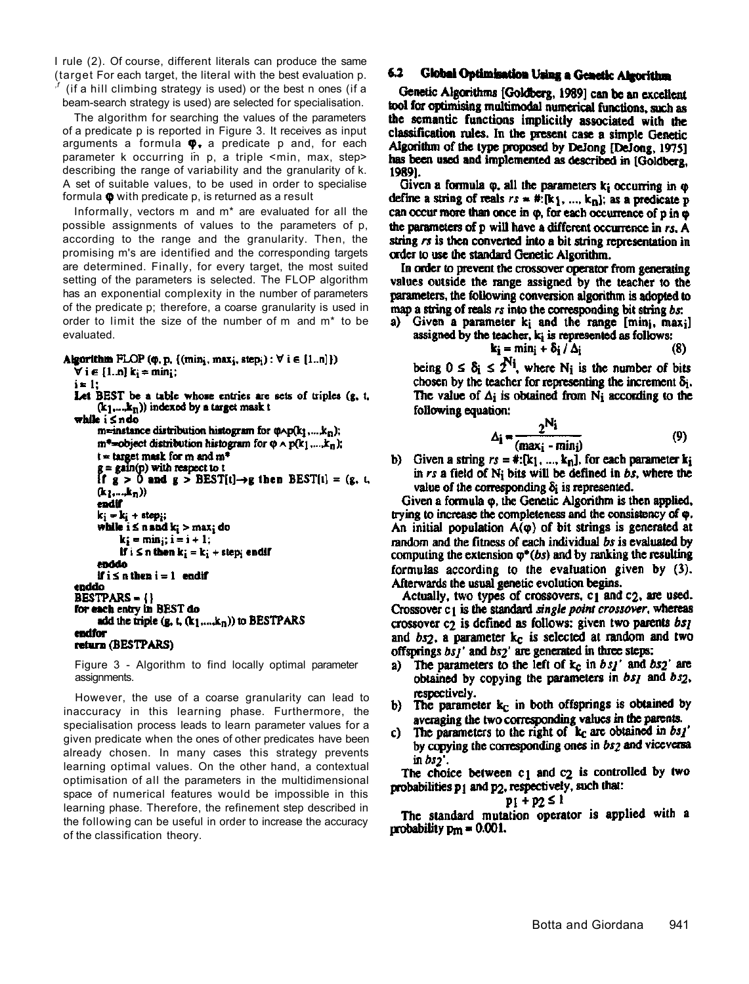I rule (2). Of course, different literals can produce the same (target For each target, the literal with the best evaluation p. *,f* (if a hill climbing strategy is used) or the best n ones (if a beam-search strategy is used) are selected for specialisation.

The algorithm for searching the values of the parameters of a predicate p is reported in Figure 3. It receives as input arguments a formula  $\phi$ , a predicate p and, for each parameter k occurring in p, a triple <min, max, step> describing the range of variability and the granularity of k. A set of suitable values, to be used in order to specialise formula  $\phi$  with predicate p, is returned as a result

Informally, vectors m and m\* are evaluated for all the possible assignments of values to the parameters of p, according to the range and the granularity. Then, the promising m's are identified and the corresponding targets are determined. Finally, for every target, the most suited setting of the parameters is selected. The FLOP algorithm has an exponential complexity in the number of parameters of the predicate p; therefore, a coarse granularity is used in order to limit the size of the number of m and m\* to be evaluated.

```
Algorithm FLOP (\varphi, p, {(min<sub>i</sub>, max<sub>i</sub>, step<sub>i</sub>) : \forall i \in [1.n]})
```

```
\forall i \in [1..n] k_i = min<sub>i</sub>;
i = 1;
Let BEST be a table whose entries are sets of triples (g, t,
     (k_1,...,k_n)) indexed by a target mask t
while i ≤ ndo
     m=instance distribution histogram for \varphi \wedge p(k_1,...,k_n);
      m^*=object distribution histogram for \varphi \wedge p(k_1,...,k_n);
     t = target musk for m and m^*= gain(p) with respect to t
     If g > 0 and g > BEST[t] \rightarrow g then BEST[t] = (g, t,
      (k<sub>l</sub>....,k<sub>n</sub>))
     endif
      k_i = k_i + step_i;while i \le n and k_i > max_i do
           k_i = min_i; i = i + 1;If i \leq n then k_i = k_i + step_i end!
      enddo
      if i \le n then i = 1 end if
enddo
BESTPARS = \{\}for each entry in BEST do
      add the triple (g, t, (k_1,...,k_n)) to BESTPARS
endfor
return (BESTPARS)
```
Figure 3 - Algorithm to find locally optimal parameter assignments.

However, the use of a coarse granularity can lead to inaccuracy in this learning phase. Furthermore, the specialisation process leads to learn parameter values for a given predicate when the ones of other predicates have been already chosen. In many cases this strategy prevents learning optimal values. On the other hand, a contextual optimisation of all the parameters in the multidimensional space of numerical features would be impossible in this learning phase. Therefore, the refinement step described in the following can be useful in order to increase the accuracy of the classification theory.

### 6.2 Global Optimisation Using a Genetic Algorithm

Genetic Algorithms [Goldberg, 1989] can be an excellent tool for optimising multimodal numerical functions, such as the semantic functions implicitly associated with the classification rules. In the present case a simple Genetic Algorithm of the type proposed by DeJong [DeJong, 1975] has been used and implemented as described in [Goldberg, 1989].

Given a formula  $\varphi$ , all the parameters  $k_i$  occurring in  $\varphi$ define a string of reals  $rs = #:[k_1, ..., k_n]$ ; as a predicate p can occur more than once in  $\varphi$ , for each occurrence of  $p$  in  $\varphi$ the parameters of p will have a different occurrence in rs. A string rs is then converted into a bit string representation in order to use the standard Genetic Algorithm.

In order to prevent the crossover operator from generating values outside the range assigned by the teacher to the parameters, the following conversion algorithm is adopted to map a string of reals rs into the corresponding bit string bs:

a) Given a parameter  $k_i$  and the range [min<sub>i</sub>, max<sub>i</sub>] assigned by the teacher,  $k_i$  is represented as follows:

$$
\mathbf{k_i} = \min_{i} + \delta_i / \Delta_i \tag{8}
$$

being  $0 \leq \delta_i \leq 2^{N_i}$ , where N<sub>i</sub> is the number of bits chosen by the teacher for representing the increment  $\delta_i$ . The value of  $\Delta_i$  is obtained from N<sub>i</sub> according to the following equation:

$$
\Delta_{\mathbf{i}} = \frac{2^{\mathbf{N}_{\mathbf{i}}}}{( \max_{\mathbf{i}} - \min_{\mathbf{j}})}
$$
(9)

b) Given a string  $rs = *, [k_1, ..., k_n]$ , for each parameter  $k_i$ in rs a field of  $N_i$  bits will be defined in bs, where the value of the corresponding  $\delta_i$  is represented.

Given a formula  $\varphi$ , the Genetic Algorithm is then applied, trying to increase the completeness and the consistency of  $\varphi$ . An initial population  $A(\varphi)$  of bit strings is generated at random and the fitness of each individual bs is evaluated by computing the extension  $\varphi^*(bs)$  and by ranking the resulting formulas according to the evaluation given by (3). Afterwards the usual genetic evolution begins.

Actually, two types of crossovers, c1 and c2, are used. Crossover c<sub>1</sub> is the standard *single point crossover*, whereas crossover  $c_2$  is defined as follows: given two parents  $bs_1$ and  $bs_2$ , a parameter  $k_c$  is selected at random and two offsprings  $bsj'$  and  $bs2'$  are generated in three steps:

- The parameters to the left of  $k_c$  in  $bsj'$  and  $bsj'$  are a) obtained by copying the parameters in  $bs<sub>I</sub>$  and  $bs<sub>Z</sub>$ , respectively.
- The parameter  $k<sub>c</sub>$  in both offsprings is obtained by b) averaging the two corresponding values in the parents.
- The parameters to the right of  $k_c$  are obtained in bs<sub>1</sub>' C) by copying the corresponding ones in bs2 and viceversa in  $bs2'$ .

The choice between  $c_1$  and  $c_2$  is controlled by two probabilities p<sub>1</sub> and p<sub>2</sub>, respectively, such that:

### $p_1 + p_2 \leq 1$

The standard mutation operator is applied with a probability  $p_{m} = 0.001$ .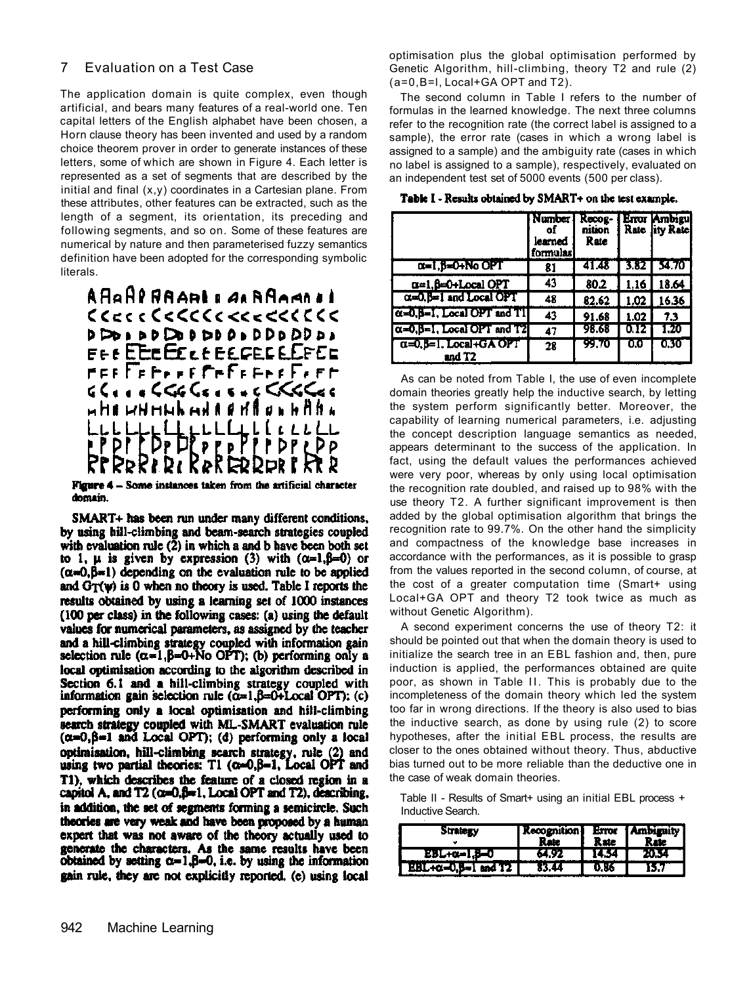## 7 Evaluation on a Test Case

The application domain is quite complex, even though artificial, and bears many features of a real-world one. Ten capital letters of the English alphabet have been chosen, a Horn clause theory has been invented and used by a random choice theorem prover in order to generate instances of these letters, some of which are shown in Figure 4. Each letter is represented as a set of segments that are described by the initial and final  $(x,y)$  coordinates in a Cartesian plane. From these attributes, other features can be extracted, such as the length of a segment, its orientation, its preceding and following segments, and so on. Some of these features are numerical by nature and then parameterised fuzzy semantics definition have been adopted for the corresponding symbolic literals.



Figure 4 - Some instances taken from the artificial character domain.

SMART+ has been run under many different conditions, by using hill-climbing and beam-search strategies coupled with evaluation rule  $(2)$  in which a and b have been both set to 1,  $\mu$  is given by expression (3) with  $(\alpha=1,\beta=0)$  or  $(\alpha=0,\beta=1)$  depending on the evaluation rule to be applied and  $G_T(\psi)$  is 0 when no theory is used. Table I reports the results obtained by using a learning set of 1000 instances (100 per class) in the following cases: (a) using the default values for numerical parameters, as assigned by the teacher and a hill-climbing strategy coupled with information gain selection rule  $(\alpha=1, \beta=0+N_0$  OPT); (b) performing only a local optimisation according to the algorithm described in Section 6.1 and a hill-climbing strategy coupled with information gain selection rule  $(\alpha=1,\beta=0+1 \text{local OPT})$ ; (c) performing only a local optimisation and hill-climbing search strategy coupled with ML-SMART evaluation rule  $(\alpha=0,\beta=1$  and Local OPT); (d) performing only a local optimisation, hill-climbing search strategy, rule (2) and using two partial theories:  $T1$  ( $\alpha=0, \beta=1$ , Local OPT and T1), which describes the feature of a closed region in a capitol A, and  $T2$  ( $\alpha=0, \beta=1$ , Local OPT and T2), describing, in addition, the set of segments forming a semicircle. Such theories are very weak and have been proposed by a human expert that was not aware of the theory actually used to generate the characters. As the same results have been obtained by setting  $\alpha=1, \beta=0$ , i.e. by using the information gain rule, they are not explicitly reported. (e) using local optimisation plus the global optimisation performed by Genetic Algorithm, hill-climbing, theory T2 and rule (2) (a=0,B=l, Local+GA OPT and T2).

The second column in Table I refers to the number of formulas in the learned knowledge. The next three columns refer to the recognition rate (the correct label is assigned to a sample), the error rate (cases in which a wrong label is assigned to a sample) and the ambiguity rate (cases in which no label is assigned to a sample), respectively, evaluated on an independent test set of 5000 events (500 per class).

Table I - Results obtained by SMART+ on the test example.

|                                                 | Number<br>of<br>learned<br>formulasi | Recog-<br>nition<br>Rate |      | Error Ambigul<br>Rate lity Rate |
|-------------------------------------------------|--------------------------------------|--------------------------|------|---------------------------------|
| α=1,β=0+No OPT                                  | 81                                   | 41.48                    |      | 3.82   34.70                    |
| α=1, β=0+Local OPT                              | 43                                   | 80.2                     | 1.16 | 18.64                           |
| 0. O. B=1 and Local OPT                         | 48                                   | 82.62                    |      | $1.02$ 16.36                    |
| $\alpha = 0$ , $\beta = 1$ , Local OPT and T1   | 43                                   | 91.68                    | 1.02 | 7.3                             |
| $\alpha = 0$ , $\beta = 1$ , Local OPT and T2   | 47                                   | 98.68                    | 0.12 | 1.20                            |
| $\alpha$ =0, $\beta$ =1, Local+GA OPT<br>and T2 | 28                                   | 99.70                    | 0.0  | 0.30                            |

As can be noted from Table I, the use of even incomplete domain theories greatly help the inductive search, by letting the system perform significantly better. Moreover, the capability of learning numerical parameters, i.e. adjusting the concept description language semantics as needed, appears determinant to the success of the application. In fact, using the default values the performances achieved were very poor, whereas by only using local optimisation the recognition rate doubled, and raised up to 98% with the use theory T2. A further significant improvement is then added by the global optimisation algorithm that brings the recognition rate to 99.7%. On the other hand the simplicity and compactness of the knowledge base increases in accordance with the performances, as it is possible to grasp from the values reported in the second column, of course, at the cost of a greater computation time (Smart+ using Local+GA OPT and theory T2 took twice as much as without Genetic Algorithm).

A second experiment concerns the use of theory T2: it should be pointed out that when the domain theory is used to initialize the search tree in an EBL fashion and, then, pure induction is applied, the performances obtained are quite poor, as shown in Table II. This is probably due to the incompleteness of the domain theory which led the system too far in wrong directions. If the theory is also used to bias the inductive search, as done by using rule (2) to score hypotheses, after the initial EBL process, the results are closer to the ones obtained without theory. Thus, abductive bias turned out to be more reliable than the deductive one in the case of weak domain theories.

Table II - Results of Smart+ using an initial EBL process + Inductive Search.

| Strategy                               | Recognition | Rate  | Error [Ambiguity]<br>Rnie |
|----------------------------------------|-------------|-------|---------------------------|
| $EBL+0=1, \beta=0$                     | 64.92       | 14.34 | ZU.34                     |
| $EBL + \alpha = 0, \beta = 1$ and $T2$ | 83.44       | V.XA  | 15.7                      |